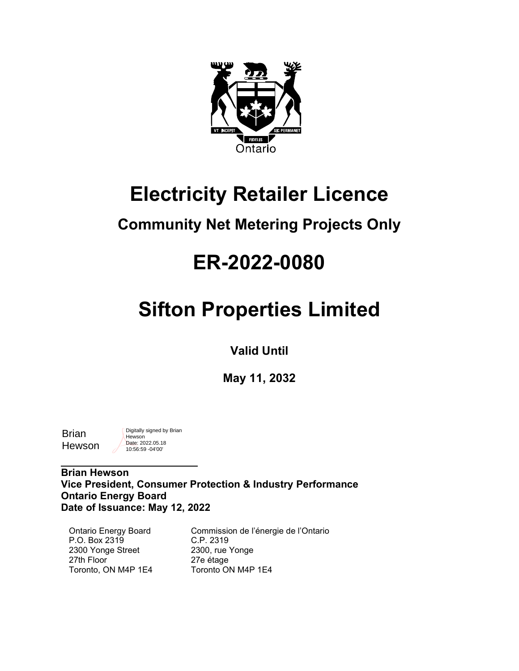

### **Electricity Retailer Licence**

### **Community Net Metering Projects Only**

## **ER-2022-0080**

# **Sifton Properties Limited**

**Valid Until**

**May 11, 2032**

**Brian** Hewson Digitally signed by Brian **Hewson** Date: 2022.05.18 10:56:59 -04'00'

\_\_\_\_\_\_\_\_\_\_\_\_\_\_\_\_\_\_\_\_\_\_\_\_\_\_\_\_\_

**Brian Hewson Vice President, Consumer Protection & Industry Performance Ontario Energy Board Date of Issuance: May 12, 2022**

Ontario Energy Board P.O. Box 2319 2300 Yonge Street 27th Floor Toronto, ON M4P 1E4

Commission de l'énergie de l'Ontario C.P. 2319 2300, rue Yonge 27e étage Toronto ON M4P 1E4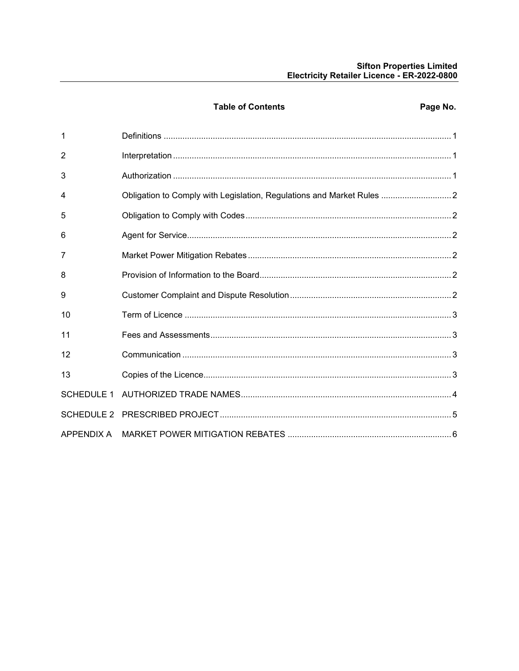### Sifton Properties Limited<br>Electricity Retailer Licence - ER-2022-0800

|                   | <b>Table of Contents</b>                                               | Page No. |
|-------------------|------------------------------------------------------------------------|----------|
| 1                 |                                                                        |          |
| $\overline{2}$    |                                                                        |          |
| 3                 |                                                                        |          |
| 4                 | Obligation to Comply with Legislation, Regulations and Market Rules  2 |          |
| 5                 |                                                                        |          |
| 6                 |                                                                        |          |
| 7                 |                                                                        |          |
| 8                 |                                                                        |          |
| 9                 |                                                                        |          |
| 10                |                                                                        |          |
| 11                |                                                                        |          |
| 12                |                                                                        |          |
| 13                |                                                                        |          |
| <b>SCHEDULE 1</b> |                                                                        |          |
|                   |                                                                        |          |
| APPENDIX A        |                                                                        |          |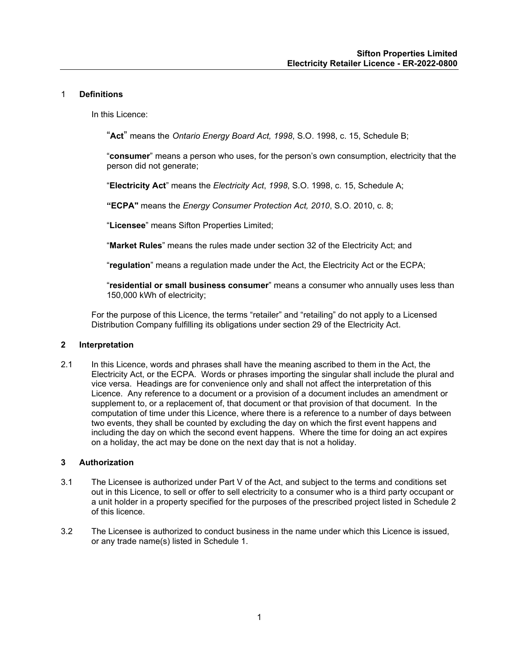#### <span id="page-2-0"></span>1 **Definitions**

In this Licence:

"**Act**" means the *Ontario Energy Board Act, 1998*, S.O. 1998, c. 15, Schedule B;

"**consumer**" means a person who uses, for the person's own consumption, electricity that the person did not generate;

"**Electricity Act**" means the *Electricity Act*, *1998*, S.O. 1998, c. 15, Schedule A;

**"ECPA"** means the *Energy Consumer Protection Act, 2010*, S.O. 2010, c. 8;

"**Licensee**" means Sifton Properties Limited;

"**Market Rules**" means the rules made under section 32 of the Electricity Act; and

"**regulation**" means a regulation made under the Act, the Electricity Act or the ECPA;

"**residential or small business consumer**" means a consumer who annually uses less than 150,000 kWh of electricity;

For the purpose of this Licence, the terms "retailer" and "retailing" do not apply to a Licensed Distribution Company fulfilling its obligations under section 29 of the Electricity Act.

#### <span id="page-2-1"></span>**2 Interpretation**

2.1 In this Licence, words and phrases shall have the meaning ascribed to them in the Act, the Electricity Act, or the ECPA. Words or phrases importing the singular shall include the plural and vice versa. Headings are for convenience only and shall not affect the interpretation of this Licence. Any reference to a document or a provision of a document includes an amendment or supplement to, or a replacement of, that document or that provision of that document. In the computation of time under this Licence, where there is a reference to a number of days between two events, they shall be counted by excluding the day on which the first event happens and including the day on which the second event happens. Where the time for doing an act expires on a holiday, the act may be done on the next day that is not a holiday.

#### <span id="page-2-2"></span>**3 Authorization**

- 3.1 The Licensee is authorized under Part V of the Act, and subject to the terms and conditions set out in this Licence, to sell or offer to sell electricity to a consumer who is a third party occupant or a unit holder in a property specified for the purposes of the prescribed project listed in Schedule 2 of this licence.
- 3.2 The Licensee is authorized to conduct business in the name under which this Licence is issued, or any trade name(s) listed in Schedule 1.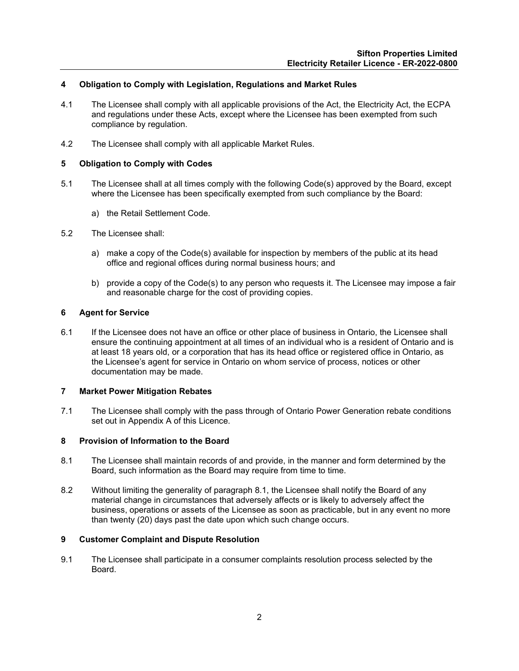#### <span id="page-3-0"></span>**4 Obligation to Comply with Legislation, Regulations and Market Rules**

- 4.1 The Licensee shall comply with all applicable provisions of the Act, the Electricity Act, the ECPA and regulations under these Acts, except where the Licensee has been exempted from such compliance by regulation.
- 4.2 The Licensee shall comply with all applicable Market Rules.

#### <span id="page-3-1"></span>**5 Obligation to Comply with Codes**

- 5.1 The Licensee shall at all times comply with the following Code(s) approved by the Board, except where the Licensee has been specifically exempted from such compliance by the Board:
	- a) the Retail Settlement Code.
- 5.2 The Licensee shall:
	- a) make a copy of the Code(s) available for inspection by members of the public at its head office and regional offices during normal business hours; and
	- b) provide a copy of the Code(s) to any person who requests it. The Licensee may impose a fair and reasonable charge for the cost of providing copies.

#### <span id="page-3-2"></span>**6 Agent for Service**

6.1 If the Licensee does not have an office or other place of business in Ontario, the Licensee shall ensure the continuing appointment at all times of an individual who is a resident of Ontario and is at least 18 years old, or a corporation that has its head office or registered office in Ontario, as the Licensee's agent for service in Ontario on whom service of process, notices or other documentation may be made.

#### <span id="page-3-3"></span>**7 Market Power Mitigation Rebates**

7.1 The Licensee shall comply with the pass through of Ontario Power Generation rebate conditions set out in Appendix A of this Licence.

#### <span id="page-3-4"></span>**8 Provision of Information to the Board**

- 8.1 The Licensee shall maintain records of and provide, in the manner and form determined by the Board, such information as the Board may require from time to time.
- 8.2 Without limiting the generality of paragraph 8.1, the Licensee shall notify the Board of any material change in circumstances that adversely affects or is likely to adversely affect the business, operations or assets of the Licensee as soon as practicable, but in any event no more than twenty (20) days past the date upon which such change occurs.

#### <span id="page-3-5"></span>**9 Customer Complaint and Dispute Resolution**

<span id="page-3-6"></span>9.1 The Licensee shall participate in a consumer complaints resolution process selected by the Board.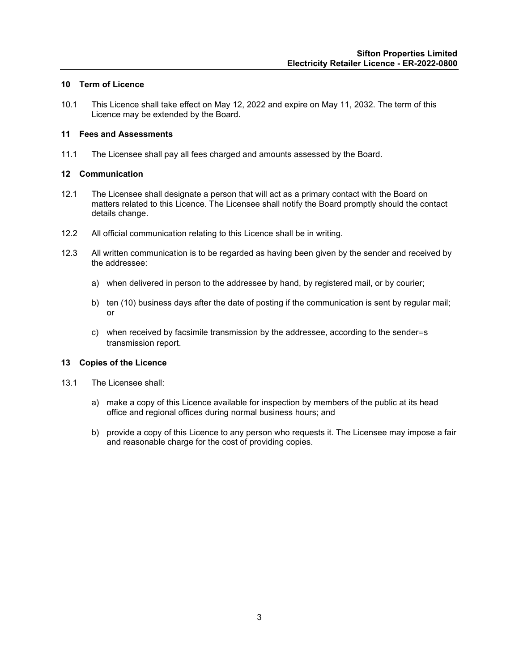#### **10 Term of Licence**

10.1 This Licence shall take effect on May 12, 2022 and expire on May 11, 2032. The term of this Licence may be extended by the Board.

#### <span id="page-4-0"></span>**11 Fees and Assessments**

11.1 The Licensee shall pay all fees charged and amounts assessed by the Board.

#### <span id="page-4-1"></span>**12 Communication**

- 12.1 The Licensee shall designate a person that will act as a primary contact with the Board on matters related to this Licence. The Licensee shall notify the Board promptly should the contact details change.
- 12.2 All official communication relating to this Licence shall be in writing.
- 12.3 All written communication is to be regarded as having been given by the sender and received by the addressee:
	- a) when delivered in person to the addressee by hand, by registered mail, or by courier;
	- b) ten (10) business days after the date of posting if the communication is sent by regular mail; or
	- c) when received by facsimile transmission by the addressee, according to the sender=s transmission report.

#### <span id="page-4-2"></span>**13 Copies of the Licence**

- 13.1 The Licensee shall:
	- a) make a copy of this Licence available for inspection by members of the public at its head office and regional offices during normal business hours; and
	- b) provide a copy of this Licence to any person who requests it. The Licensee may impose a fair and reasonable charge for the cost of providing copies.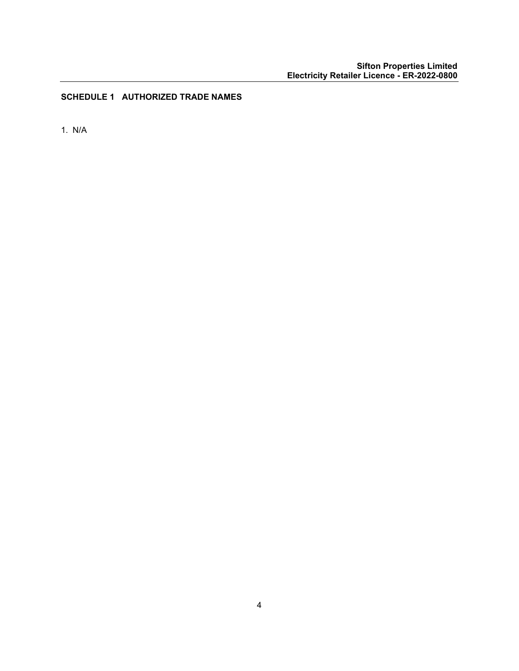#### <span id="page-5-0"></span>**SCHEDULE 1 AUTHORIZED TRADE NAMES**

<span id="page-5-1"></span>1. N/A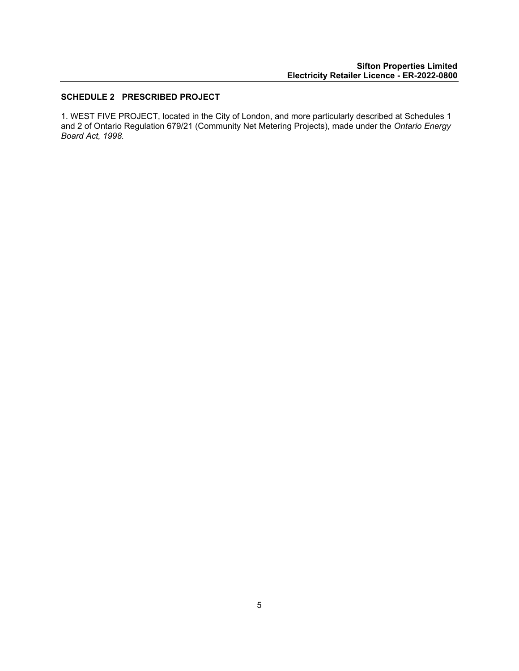#### **SCHEDULE 2 PRESCRIBED PROJECT**

1. WEST FIVE PROJECT, located in the City of London, and more particularly described at Schedules 1 and 2 of Ontario Regulation 679/21 (Community Net Metering Projects), made under the *Ontario Energy Board Act, 1998.*